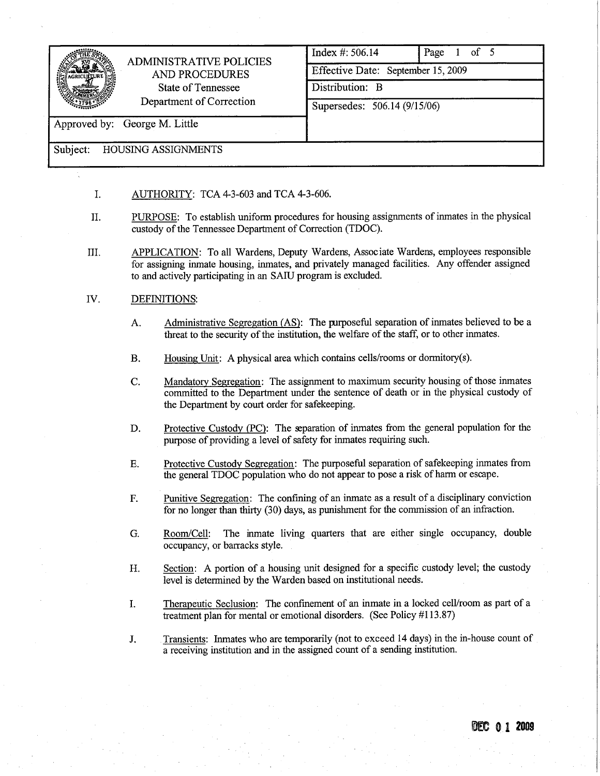|                               | <b>ADMINISTRATIVE POLICIES</b><br>AND PROCEDURES<br>State of Tennessee<br>Department of Correction | Index $\#$ : 506.14                | $1$ of 5<br>Page |
|-------------------------------|----------------------------------------------------------------------------------------------------|------------------------------------|------------------|
|                               |                                                                                                    | Effective Date: September 15, 2009 |                  |
|                               |                                                                                                    | Distribution: B                    |                  |
|                               |                                                                                                    | Supersedes: 506.14 (9/15/06)       |                  |
| Approved by: George M. Little |                                                                                                    |                                    |                  |
| Subject:                      | <b>HOUSING ASSIGNMENTS</b>                                                                         |                                    |                  |

- i. AUTHORITY: TCA 4-3-603 and TCA 4-3-606.
- II. PUROSE: To establish uniform procedures for housing assignments of inmates in the physical custody of the Tennessee Department of Correction (TDOC).
- II. APPLICATION: To all Wardens, Deputy Wardens, Associate Wardens, employees responsible for assigning inate housing, inates, and privately managed facilities. Any offender assigned to and actively paricipating in an SAIU program is excluded.

## iv. DEFINITIONS:

- A. Administrative Segregation (AS): The purposeful separation of inmates believed to be a threat to the security of the institution, the welfare of the staff, or to other inmates.
- B. Housing Unit: A physical area which contains cells/rooms or dormitory(s).
- C. Mandatory Segregation: The assignment to maximum security housing of those inmates committed to the Department under the sentence of death or in the physical custody of the Department by court order for safekeeping.
- D. Protective Custody (PC): The separation of inmates from the general population for the purose of providing a level of safety for inmates requiring such.
- E. Protective Custody Segregation: The puroseful separation of safekeeping inmates from the general TDOC population who do not appear to pose a risk of harm or escape.
- F. Punitive Segregation: The confining of an inmate as a result of a disciplinary conviction for no longer than thirty  $(30)$  days, as punishment for the commission of an infraction.
- G. Room/Cell: The inate living quarters that are either single occupancy, double occupancy, or barracks style.
- H. Section: A portion of a housing unt designed for a specific custody level; the custody level is determined by the Warden based on institutional needs.
- I. Therapeutic Seclusion: The confinement of an inmate in a locked cell/room as part of a treatment plan for mental or emotional disorders. (See Policy #113.87)
- J. Transients: Inmates who are temporarily (not to exceed 14 days) in the in-house count of a receiving institution and in the assigned count of a sending institution.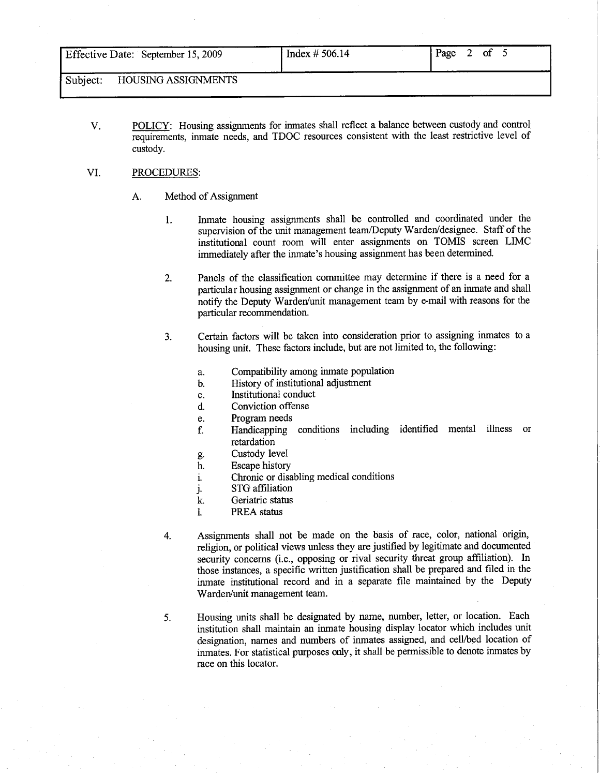I Index # 506.14 I Page # 506.14 I Page # 506.14 I Page # 506.14 I Page # 506.14

Subject: HOUSING ASSIGNMENTS

V. POLICY: Housing assignments for inmates shall reflect a balance between custody and control requirements, inate needs, and TDOC resources consistent with the least restrictive level of custody.

## VI. PROCEDURS:

- A. Method of Assignment
	- 1. Inmate housing assignments shall be controlled and coordinated under the supervision of the unit management team/Deputy Warden/designee. Staff of the institutional count room will enter assignments on TOMIS screen LIMC immediately after the inmate's housing assignment has been determined.
	- 2. Panels of the classification committee may determine if there is a need for a particular housing assignment or change in the assignment of an inmate and shall notify the Deputy Warden/unit management team by e-mail with reasons for the paricular recommendation.
	- 3. Certain factors will be taken into consideration prior to assigning inmates to a housing unit. These factors include, but are not limited to, the following:
		- a. Compatibility among inmate population
		- b. History of institutional adjustment
		- c. Institutional conduct
		- d. Conviction offense
		- e. Program needs
		- f. Handicapping conditions including identified mental ilness or retardation
		- g. Custody level
		- h. Escape history
		- 1. Chronic or disabling medical conditions
		- j. STG affiliation<br>
		k. Geriatric status
		- Geriatric status
		- 1. PREA status
	- 4. Assignments shall not be made on the basis of race, color, national origin, religion, or political views unless they are justified by legitimate and documented security concerns (i.e., opposing or rival security threat group affiliation). In those instances, a specific written justification shall be prepared and fied in the inmate institutional record and in a separate fie maintained by the Deputy Warden/unit management team.
	- 5. Housing units shall be designated by name, number, letter, or location. Each institution shall maintain an inmate housing display locator which includes unt designation, names and numbers of inmates assigned, and cell/bed location of inmates. For statistical purposes only, it shall be permissible to denote inmates by race on this locator.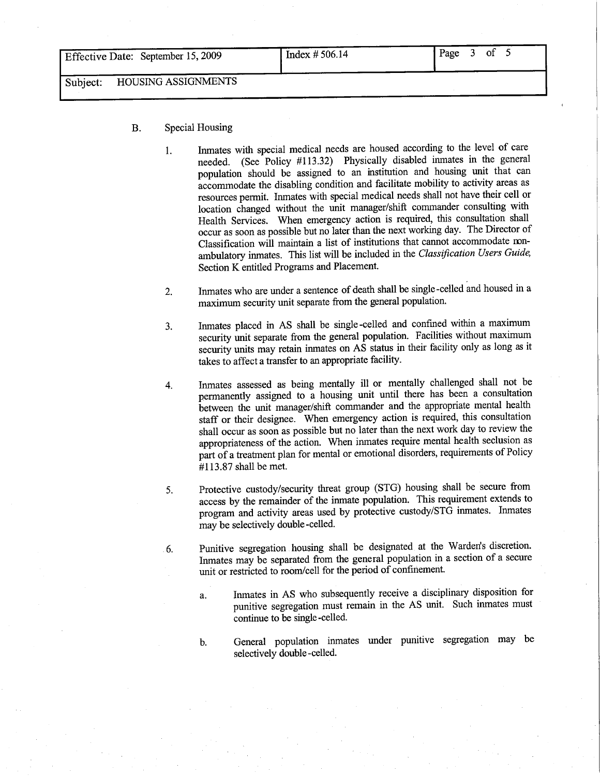Subject: HOUSING ASSIGNMENTS

## B. Special Housing

1. Inmates with special medical needs are housed according to the level of care needed. (See Policy #113.32) Physically disabled inmates in the general population should be assigned to an institution and housing unt that can accommodate the disabling condition and facilitate mobility to activity areas as resources permit. Inmates with special medical needs shall not have their cell or location changed without the unt manager/shift commander consulting with Health Services. When emergency action is required, this consultation shall occur as soon as possible but no later than the next workig day. The Director of Classification will maintain a list of institutions that cannot accommodate ronambulatory inmates. This list will be included in the Classification Users Guide, Section K entitled Programs and Placement.

<u>I index # 506.14 I Page # 506.14 I Page # 506.14 I Page # 506.14 I Page # 506.14 I Page # 506.14 I Page # 506.14 I Page # 506.14 I Page # 506.14 I Page # 506.14 I Page # 506.14 I Page # 506.14 I Page # 506.14 I Page # 506</u>

- 2. Inmates who are under a sentence of death shall be single -celled and housed in a maximum security unit separate from the general population.
- 3. Inmates placed in AS shall be single -celled and confined withn a maximum security unit separate from the general population. Facilities without maximum security units may retain inmates on AS status in their facility only as long as it takes to affect a transfer to an appropriate facilty.
- 4. Inates assessed as being mentally il or mentally challenged shall not be permanently assigned to a housing unit until there has been a consultation between the unit manager/shift commander and the appropriate mental health staff or their designee. When emergency action is required, this consultation shall occur as soon as possible but no later than the next work day to review the appropriateness of the action. When inmates require mental health seclusion as part of a treatment plan for mental or emotional disorders, requirements of Policy #113.87 shall be met.
- 5. Protective custody/securty threat group (STG) housing shall be secure from access by the remainder of the inmate population. This requirement extends to program and activity areas used by protective custody/STG inmates. Inmates may be selectively double -celled.
- 6. Punitive segregation housing shall be designated at the Warden's discretion. Inmates may be separated from the general population in a section of a secure unit or restricted to room/cell for the period of confinement.

a. Inmates in AS who subsequently receive a disciplinary disposition for punitive segregation must remain in the AS unit. Such inmates must continue to be single -celled.

b. General population inmates under punitive segregation may be selectively double -celled.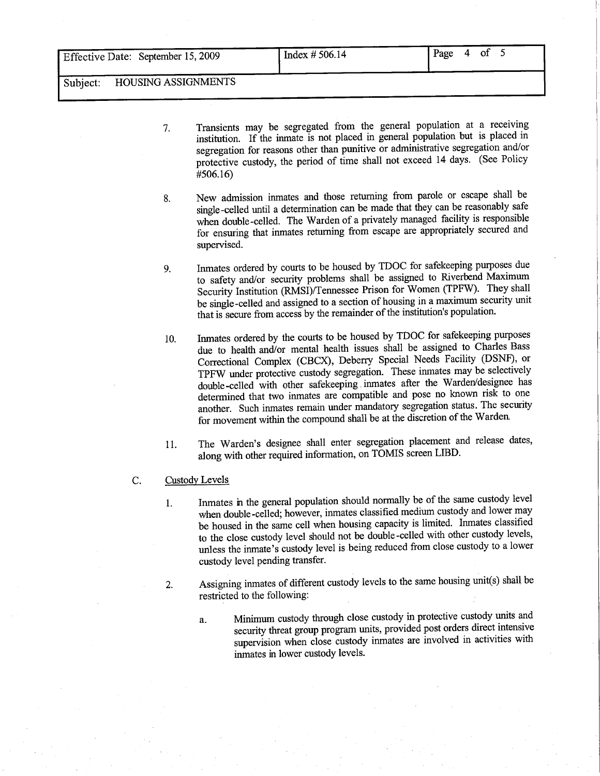Subject: HOUSING ASSIGNMENTS

7. Transients may be segregated from the general population at a receiving institution. If the inmate is not placed in general population but is placed in segregation for reasons other than punitive or administrative segregation and/or protective custody, the period of time shall not exceed 14 days. (See Policy #506.16)

I Index # 506.14 I Page # 506.14 I Page # 506.14 I Page # 506.14 I Page # 506.14 I Page # 506.14 I Page # 506.

- 8. New admission inmates and those returning from parole or escape shall be single-celled until a determination can be made that they can be reasonably safe when double -celled. The Warden of a privately managed facility is responsible for ensuring that inmates returning from escape are appropriately secured and supervised.
- 9. Inmates ordered by courts to be housed by TDOC for safekeeping purposes due to safety and/or security problems shall be assigned to Riverbend Maximum Security Institution (RMSI)/Tennessee Prison for Women (TPFW). They shall be single -celled and assigned to a section of housing in a maximum security unit that is secure from access by the remainder of the institution's population.
- 10. Inmates ordered by the cours to be housed by TDOC for safekeeping puroses due to health and/or mental health issues shall be assigned to Charles Bass Correctional Complex (CBCX), Deberry Special Needs Facility (DSNF), or TPFW under protective custody segregation. These inmates may be selectively double-celled with other safekeeping .inmates after the Warden/designee has determined that two inmates are compatible and pose no known risk to one another. Such inmates remain under mandatory segregation status. The securty for movement within the compound shall be at the discretion of the Warden.
- 11. The Warden's designee shall enter segregation placement and release dates, along with other required information, on TOMIS screen LffD.
- C. Custody Levels
	- 1. Inmates in the general population should normally be of the same custody level when double-celled; however, inmates classified medium custody and lower may be housed in the same cell when housing capacity is limited. Inmates classified to the close custody level should not be double -celled with other custody levels, unless the inmate's custody level is being reduced from close custody to a lower custody level pending transfer.
	- 2. Assigning inmates of different custody levels to the same housing unit(s) shall be restricted to the following:
		- a. Minium custody through close custody in protective custody unts and security threat group program units, provided post orders direct intensive supervision when close custody inmates are involved in activities with inmates in lower custody levels.